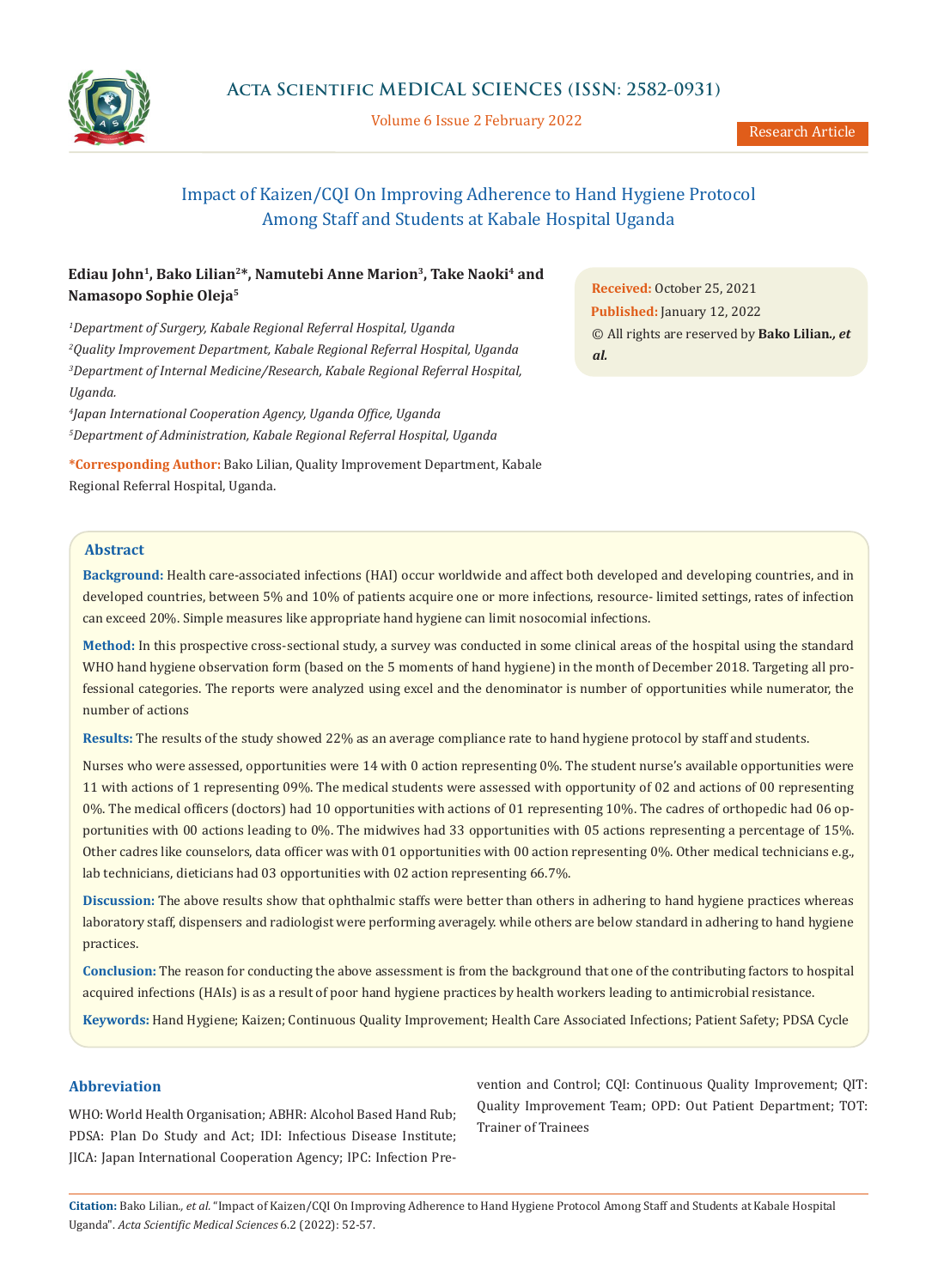

Volume 6 Issue 2 February 2022

# Impact of Kaizen/CQI On Improving Adherence to Hand Hygiene Protocol Among Staff and Students at Kabale Hospital Uganda

## **Ediau John1, Bako Lilian2\*, Namutebi Anne Marion3, Take Naoki4 and Namasopo Sophie Oleja5**

 *Department of Surgery, Kabale Regional Referral Hospital, Uganda Quality Improvement Department, Kabale Regional Referral Hospital, Uganda Department of Internal Medicine/Research, Kabale Regional Referral Hospital, Uganda.* 

*4 Japan International Cooperation Agency, Uganda Office, Uganda 5 Department of Administration, Kabale Regional Referral Hospital, Uganda*

**\*Corresponding Author:** Bako Lilian, Quality Improvement Department, Kabale Regional Referral Hospital, Uganda.

**Received:** October 25, 2021 **Published:** January 12, 2022 © All rights are reserved by **Bako Lilian***., et al.*

## **Abstract**

**Background:** Health care-associated infections (HAI) occur worldwide and affect both developed and developing countries, and in developed countries, between 5% and 10% of patients acquire one or more infections, resource- limited settings, rates of infection can exceed 20%. Simple measures like appropriate hand hygiene can limit nosocomial infections.

**Method:** In this prospective cross-sectional study, a survey was conducted in some clinical areas of the hospital using the standard WHO hand hygiene observation form (based on the 5 moments of hand hygiene) in the month of December 2018. Targeting all professional categories. The reports were analyzed using excel and the denominator is number of opportunities while numerator, the number of actions

**Results:** The results of the study showed 22% as an average compliance rate to hand hygiene protocol by staff and students.

Nurses who were assessed, opportunities were 14 with 0 action representing 0%. The student nurse's available opportunities were 11 with actions of 1 representing 09%. The medical students were assessed with opportunity of 02 and actions of 00 representing 0%. The medical officers (doctors) had 10 opportunities with actions of 01 representing 10%. The cadres of orthopedic had 06 opportunities with 00 actions leading to 0%. The midwives had 33 opportunities with 05 actions representing a percentage of 15%. Other cadres like counselors, data officer was with 01 opportunities with 00 action representing 0%. Other medical technicians e.g., lab technicians, dieticians had 03 opportunities with 02 action representing 66.7%.

**Discussion:** The above results show that ophthalmic staffs were better than others in adhering to hand hygiene practices whereas laboratory staff, dispensers and radiologist were performing averagely. while others are below standard in adhering to hand hygiene practices.

**Conclusion:** The reason for conducting the above assessment is from the background that one of the contributing factors to hospital acquired infections (HAIs) is as a result of poor hand hygiene practices by health workers leading to antimicrobial resistance.

**Keywords:** Hand Hygiene; Kaizen; Continuous Quality Improvement; Health Care Associated Infections; Patient Safety; PDSA Cycle

## **Abbreviation**

WHO: World Health Organisation; ABHR: Alcohol Based Hand Rub; PDSA: Plan Do Study and Act; IDI: Infectious Disease Institute; JICA: Japan International Cooperation Agency; IPC: Infection Prevention and Control; CQI: Continuous Quality Improvement; QIT: Quality Improvement Team; OPD: Out Patient Department; TOT: Trainer of Trainees

**Citation:** Bako Lilian*., et al.* "Impact of Kaizen/CQI On Improving Adherence to Hand Hygiene Protocol Among Staff and Students at Kabale Hospital Uganda". *Acta Scientific Medical Sciences* 6.2 (2022): 52-57.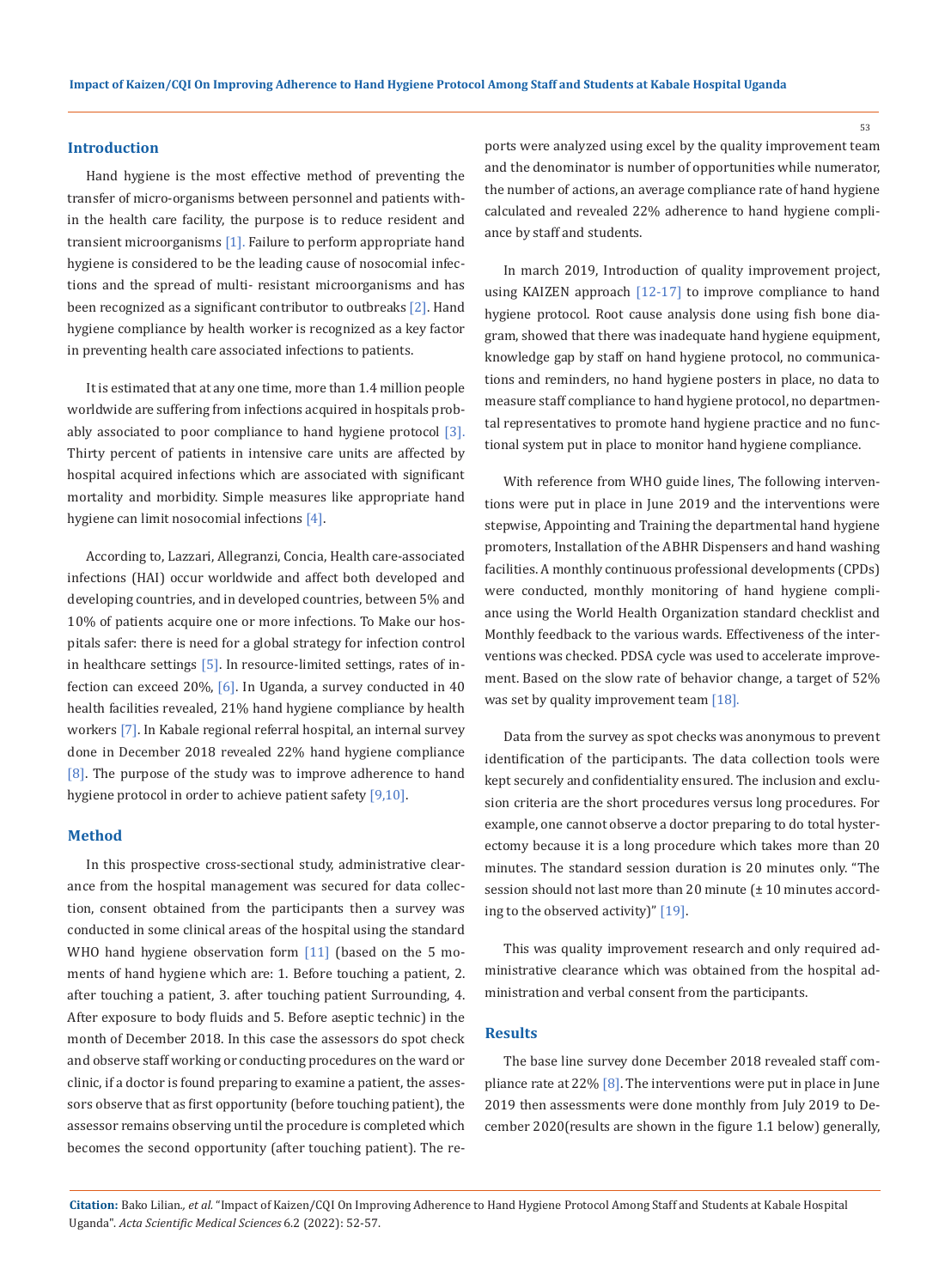### **Introduction**

Hand hygiene is the most effective method of preventing the transfer of micro-organisms between personnel and patients within the health care facility, the purpose is to reduce resident and transient microorganisms [1]. Failure to perform appropriate hand hygiene is considered to be the leading cause of nosocomial infections and the spread of multi- resistant microorganisms and has been recognized as a significant contributor to outbreaks [2]. Hand hygiene compliance by health worker is recognized as a key factor in preventing health care associated infections to patients.

It is estimated that at any one time, more than 1.4 million people worldwide are suffering from infections acquired in hospitals probably associated to poor compliance to hand hygiene protocol [3]. Thirty percent of patients in intensive care units are affected by hospital acquired infections which are associated with significant mortality and morbidity. Simple measures like appropriate hand hygiene can limit nosocomial infections [4].

According to, Lazzari, Allegranzi, Concia, Health care-associated infections (HAI) occur worldwide and affect both developed and developing countries, and in developed countries, between 5% and 10% of patients acquire one or more infections. To Make our hospitals safer: there is need for a global strategy for infection control in healthcare settings [5]. In resource-limited settings, rates of infection can exceed 20%, [6]. In Uganda, a survey conducted in 40 health facilities revealed, 21% hand hygiene compliance by health workers [7]. In Kabale regional referral hospital, an internal survey done in December 2018 revealed 22% hand hygiene compliance [8]. The purpose of the study was to improve adherence to hand hygiene protocol in order to achieve patient safety [9,10].

#### **Method**

In this prospective cross-sectional study, administrative clearance from the hospital management was secured for data collection, consent obtained from the participants then a survey was conducted in some clinical areas of the hospital using the standard WHO hand hygiene observation form [11] (based on the 5 moments of hand hygiene which are: 1. Before touching a patient, 2. after touching a patient, 3. after touching patient Surrounding, 4. After exposure to body fluids and 5. Before aseptic technic) in the month of December 2018. In this case the assessors do spot check and observe staff working or conducting procedures on the ward or clinic, if a doctor is found preparing to examine a patient, the assessors observe that as first opportunity (before touching patient), the assessor remains observing until the procedure is completed which becomes the second opportunity (after touching patient). The reports were analyzed using excel by the quality improvement team and the denominator is number of opportunities while numerator, the number of actions, an average compliance rate of hand hygiene calculated and revealed 22% adherence to hand hygiene compliance by staff and students.

In march 2019, Introduction of quality improvement project, using KAIZEN approach [12-17] to improve compliance to hand hygiene protocol. Root cause analysis done using fish bone diagram, showed that there was inadequate hand hygiene equipment, knowledge gap by staff on hand hygiene protocol, no communications and reminders, no hand hygiene posters in place, no data to measure staff compliance to hand hygiene protocol, no departmental representatives to promote hand hygiene practice and no functional system put in place to monitor hand hygiene compliance.

With reference from WHO guide lines, The following interventions were put in place in June 2019 and the interventions were stepwise, Appointing and Training the departmental hand hygiene promoters, Installation of the ABHR Dispensers and hand washing facilities. A monthly continuous professional developments (CPDs) were conducted, monthly monitoring of hand hygiene compliance using the World Health Organization standard checklist and Monthly feedback to the various wards. Effectiveness of the interventions was checked. PDSA cycle was used to accelerate improvement. Based on the slow rate of behavior change, a target of 52% was set by quality improvement team [18].

Data from the survey as spot checks was anonymous to prevent identification of the participants. The data collection tools were kept securely and confidentiality ensured. The inclusion and exclusion criteria are the short procedures versus long procedures. For example, one cannot observe a doctor preparing to do total hysterectomy because it is a long procedure which takes more than 20 minutes. The standard session duration is 20 minutes only. "The session should not last more than 20 minute (± 10 minutes according to the observed activity)" [19].

This was quality improvement research and only required administrative clearance which was obtained from the hospital administration and verbal consent from the participants.

#### **Results**

The base line survey done December 2018 revealed staff compliance rate at 22% [8]. The interventions were put in place in June 2019 then assessments were done monthly from July 2019 to December 2020(results are shown in the figure 1.1 below) generally,

**Citation:** Bako Lilian*., et al.* "Impact of Kaizen/CQI On Improving Adherence to Hand Hygiene Protocol Among Staff and Students at Kabale Hospital Uganda". *Acta Scientific Medical Sciences* 6.2 (2022): 52-57.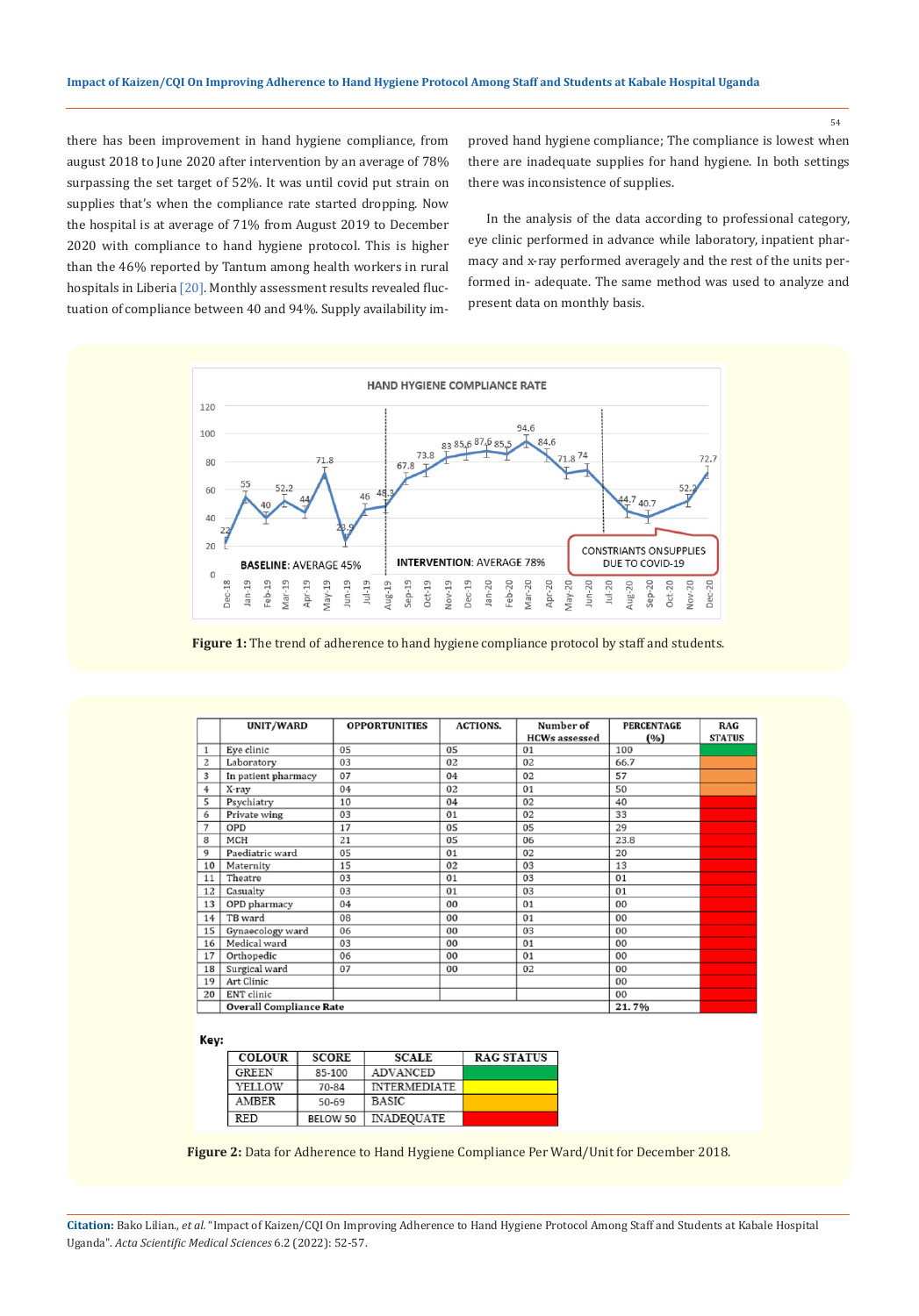there has been improvement in hand hygiene compliance, from august 2018 to June 2020 after intervention by an average of 78% surpassing the set target of 52%. It was until covid put strain on supplies that's when the compliance rate started dropping. Now the hospital is at average of 71% from August 2019 to December 2020 with compliance to hand hygiene protocol. This is higher than the 46% reported by Tantum among health workers in rural hospitals in Liberia [20]. Monthly assessment results revealed fluctuation of compliance between 40 and 94%. Supply availability improved hand hygiene compliance; The compliance is lowest when there are inadequate supplies for hand hygiene. In both settings there was inconsistence of supplies.

In the analysis of the data according to professional category, eye clinic performed in advance while laboratory, inpatient pharmacy and x-ray performed averagely and the rest of the units performed in- adequate. The same method was used to analyze and present data on monthly basis.



**Figure 1:** The trend of adherence to hand hygiene compliance protocol by staff and students.

|    | UNIT/WARD                      | <b>OPPORTUNITIES</b> | <b>ACTIONS.</b> | Number of            | <b>PERCENTAGE</b> | RAG           |  |  |
|----|--------------------------------|----------------------|-----------------|----------------------|-------------------|---------------|--|--|
|    |                                |                      |                 | <b>HCWs</b> assessed | (%)               | <b>STATUS</b> |  |  |
| 1  | Eye clinic                     | 05                   | 05              | 01                   | 100               |               |  |  |
| 2  | Laboratory                     | 03                   | 02              | 02                   | 66.7              |               |  |  |
| 3  | In patient pharmacy            | 07                   | 04              | 02                   | 57                |               |  |  |
| 4  | X-ray                          | 04                   | 02              | 01                   | 50                |               |  |  |
| 5  | Psychiatry                     | 10                   | 04              | 02                   | 40                |               |  |  |
| 6  | Private wing                   | 03                   | 01              | 02                   | 33                |               |  |  |
| 7  | OPD                            | 17                   | 05              | 05                   | 29                |               |  |  |
| 8  | MCH                            | 21                   | 05              | 06                   | 23.8              |               |  |  |
| 9  | Paediatric ward                | 05                   | 01              | 02                   | 20                |               |  |  |
| 10 | Maternity                      | 15                   | 02              | 03                   | 13                |               |  |  |
| 11 | Theatre                        | 03                   | 01              | 03                   | 01                |               |  |  |
| 12 | Casualty                       | 03                   | 01              | 03                   | 01                |               |  |  |
| 13 | OPD pharmacy                   | 04                   | 00              | 01                   | 00                |               |  |  |
| 14 | TB ward                        | 08                   | 00              | 01                   | 00                |               |  |  |
| 15 | Gynaecology ward               | 06                   | 00              | 03                   | 00                |               |  |  |
| 16 | Medical ward                   | 03                   | 00              | 01                   | 00                |               |  |  |
| 17 | Orthopedic                     | 06                   | 00              | 01                   | 00                |               |  |  |
| 18 | Surgical ward                  | 07                   | 00              | 02                   | 00                |               |  |  |
| 19 | Art Clinic                     |                      |                 |                      | 00                |               |  |  |
| 20 | ENT clinic                     |                      |                 |                      | 00                |               |  |  |
|    | <b>Overall Compliance Rate</b> | 21.7%                |                 |                      |                   |               |  |  |

Key:

| <b>COLOUR</b> | <b>SCORE</b> | <b>SCALE</b>        | <b>RAG STATUS</b> |
|---------------|--------------|---------------------|-------------------|
| GREEN         | 85-100       | ADVANCED            |                   |
| YELLOW        | 70-84        | <b>INTERMEDIATE</b> |                   |
| AMBER         | $50 - 69$    | <b>BASIC</b>        |                   |
| RED           | BELOW 50     | <b>INADEQUATE</b>   |                   |

**Figure 2:** Data for Adherence to Hand Hygiene Compliance Per Ward/Unit for December 2018.

**Citation:** Bako Lilian*., et al.* "Impact of Kaizen/CQI On Improving Adherence to Hand Hygiene Protocol Among Staff and Students at Kabale Hospital Uganda". *Acta Scientific Medical Sciences* 6.2 (2022): 52-57.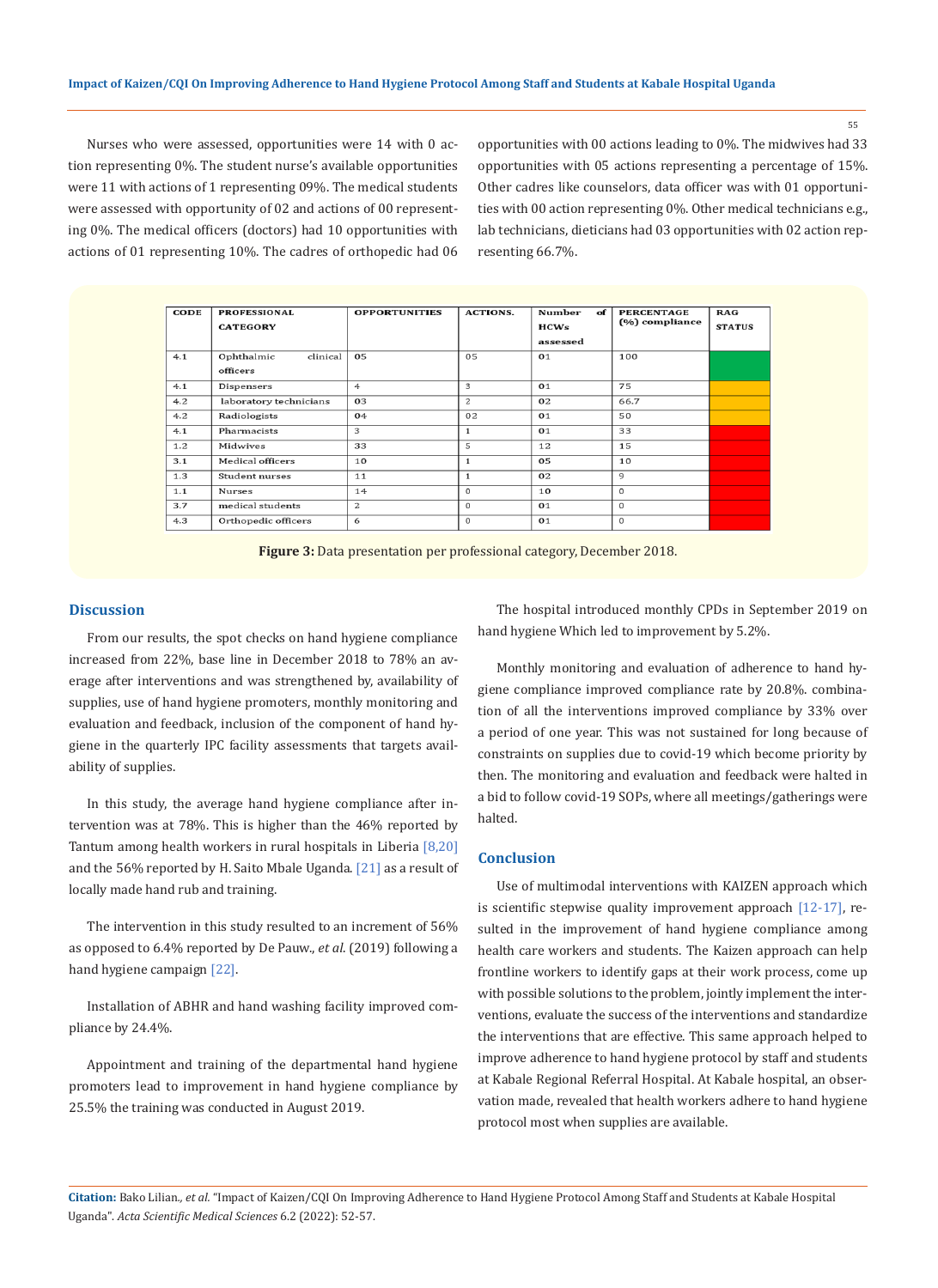Nurses who were assessed, opportunities were 14 with 0 action representing 0%. The student nurse's available opportunities were 11 with actions of 1 representing 09%. The medical students were assessed with opportunity of 02 and actions of 00 representing 0%. The medical officers (doctors) had 10 opportunities with actions of 01 representing 10%. The cadres of orthopedic had 06 opportunities with 00 actions leading to 0%. The midwives had 33 opportunities with 05 actions representing a percentage of 15%. Other cadres like counselors, data officer was with 01 opportunities with 00 action representing 0%. Other medical technicians e.g., lab technicians, dieticians had 03 opportunities with 02 action representing 66.7%.

| <b>CODE</b> | <b>PROFESSIONAL</b><br><b>CATEGORY</b> | <b>OPPORTUNITIES</b> | <b>ACTIONS.</b> | <b>Number</b><br>of<br>HCWs<br>assessed | <b>PERCENTAGE</b><br>(%) compliance | RAG<br><b>STATUS</b> |
|-------------|----------------------------------------|----------------------|-----------------|-----------------------------------------|-------------------------------------|----------------------|
| 4.1         | Ophthalmic<br>clinical<br>officers     | 05                   | 05              | 01                                      | 100                                 |                      |
| 4.1         | Dispensers                             | 4                    | 3               | 01                                      | 75                                  |                      |
| 4.2         | laboratory technicians                 | 03                   | 2               | 02                                      | 66.7                                |                      |
| 4.2         | Radiologists                           | 04                   | 02              | 01                                      | 50                                  |                      |
| 4.1         | Pharmacists                            | 3                    | $\mathbf{1}$    | 01                                      | 33                                  |                      |
| 1.2         | Midwives                               | 33                   | 5               | 12                                      | 15                                  |                      |
| 3.1         | Medical officers                       | 10                   | $\mathbf{1}$    | 05                                      | 10                                  |                      |
| 1.3         | Student nurses                         | 11                   | $\mathbf{1}$    | 02                                      | 9                                   |                      |
| 1.1         | Nurses                                 | 14                   | $\Omega$        | 10                                      | $\Omega$                            |                      |
| 3.7         | medical students                       | $\mathbf{z}$         | $\Omega$        | 01                                      | $\Omega$                            |                      |
| 4.3         | Orthopedic officers                    | 6                    | $\Omega$        | 01                                      | $\bf{0}$                            |                      |



#### **Discussion**

From our results, the spot checks on hand hygiene compliance increased from 22%, base line in December 2018 to 78% an average after interventions and was strengthened by, availability of supplies, use of hand hygiene promoters, monthly monitoring and evaluation and feedback, inclusion of the component of hand hygiene in the quarterly IPC facility assessments that targets availability of supplies.

In this study, the average hand hygiene compliance after intervention was at 78%. This is higher than the 46% reported by Tantum among health workers in rural hospitals in Liberia [8,20] and the 56% reported by H. Saito Mbale Uganda. [21] as a result of locally made hand rub and training.

The intervention in this study resulted to an increment of 56% as opposed to 6.4% reported by De Pauw., *et al*. (2019) following a hand hygiene campaign [22].

Installation of ABHR and hand washing facility improved compliance by 24.4%.

Appointment and training of the departmental hand hygiene promoters lead to improvement in hand hygiene compliance by 25.5% the training was conducted in August 2019.

The hospital introduced monthly CPDs in September 2019 on hand hygiene Which led to improvement by 5.2%.

Monthly monitoring and evaluation of adherence to hand hygiene compliance improved compliance rate by 20.8%. combination of all the interventions improved compliance by 33% over a period of one year. This was not sustained for long because of constraints on supplies due to covid-19 which become priority by then. The monitoring and evaluation and feedback were halted in a bid to follow covid-19 SOPs, where all meetings/gatherings were halted.

#### **Conclusion**

Use of multimodal interventions with KAIZEN approach which is scientific stepwise quality improvement approach [12-17], resulted in the improvement of hand hygiene compliance among health care workers and students. The Kaizen approach can help frontline workers to identify gaps at their work process, come up with possible solutions to the problem, jointly implement the interventions, evaluate the success of the interventions and standardize the interventions that are effective. This same approach helped to improve adherence to hand hygiene protocol by staff and students at Kabale Regional Referral Hospital. At Kabale hospital, an observation made, revealed that health workers adhere to hand hygiene protocol most when supplies are available.

**Citation:** Bako Lilian*., et al.* "Impact of Kaizen/CQI On Improving Adherence to Hand Hygiene Protocol Among Staff and Students at Kabale Hospital Uganda". *Acta Scientific Medical Sciences* 6.2 (2022): 52-57.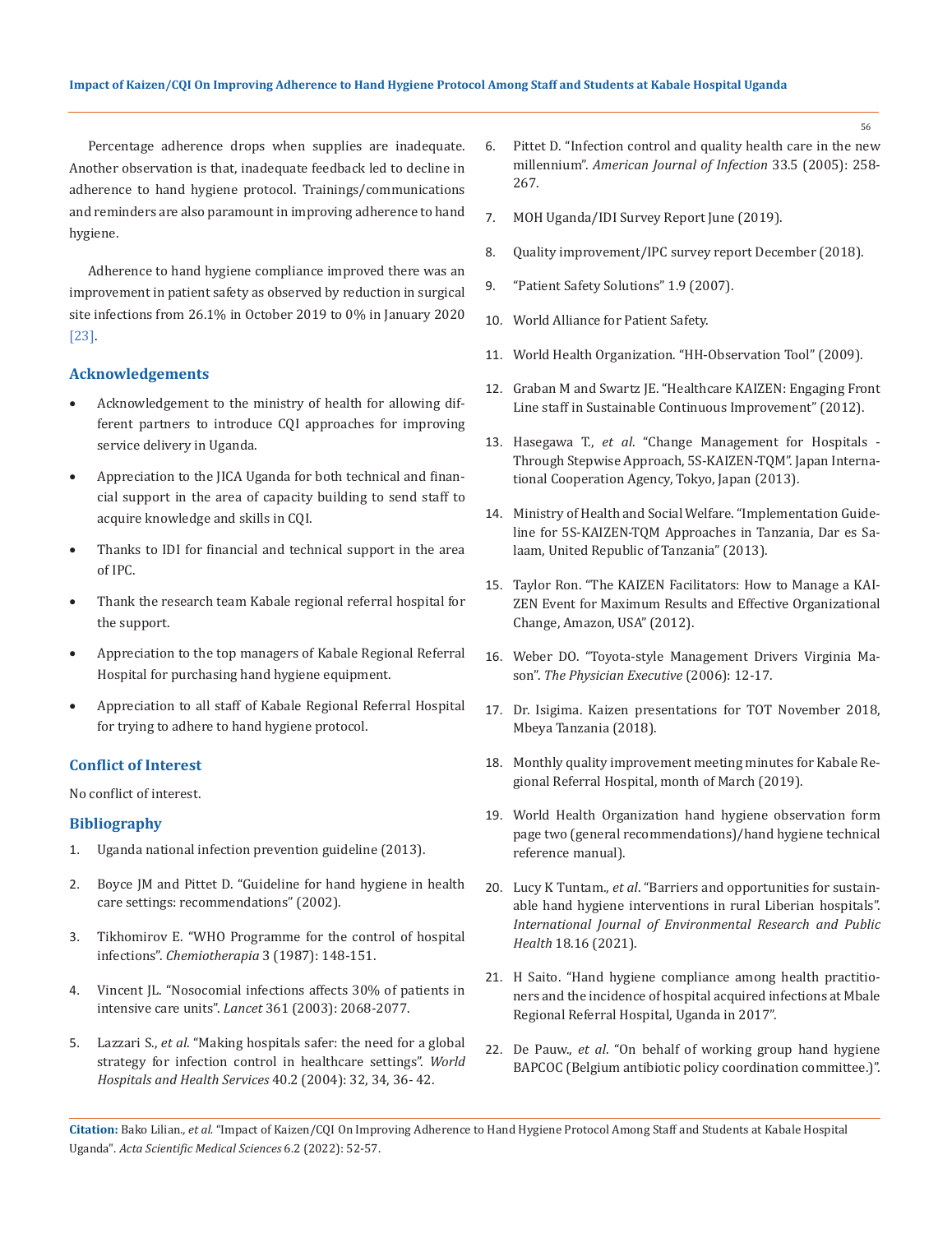Percentage adherence drops when supplies are inadequate. Another observation is that, inadequate feedback led to decline in adherence to hand hygiene protocol. Trainings/communications and reminders are also paramount in improving adherence to hand hygiene.

Adherence to hand hygiene compliance improved there was an improvement in patient safety as observed by reduction in surgical site infections from 26.1% in October 2019 to 0% in January 2020 [23].

### **Acknowledgements**

- • Acknowledgement to the ministry of health for allowing different partners to introduce CQI approaches for improving service delivery in Uganda.
- Appreciation to the JICA Uganda for both technical and financial support in the area of capacity building to send staff to acquire knowledge and skills in CQI.
- Thanks to IDI for financial and technical support in the area of IPC.
- • Thank the research team Kabale regional referral hospital for the support.
- • Appreciation to the top managers of Kabale Regional Referral Hospital for purchasing hand hygiene equipment.
- Appreciation to all staff of Kabale Regional Referral Hospital for trying to adhere to hand hygiene protocol.

## **Conflict of Interest**

No conflict of interest.

## **Bibliography**

- 1. Uganda national infection prevention guideline (2013).
- 2. Boyce JM and Pittet D. "Guideline for hand hygiene in health care settings: recommendations" (2002).
- 3. [Tikhomirov E. "WHO Programme for the control of hospital](https://pubmed.ncbi.nlm.nih.gov/3607925/)  infections". *[Chemiotherapia](https://pubmed.ncbi.nlm.nih.gov/3607925/)* 3 (1987): 148-151.
- 4. [Vincent JL. "Nosocomial infections affects 30% of patients in](https://pubmed.ncbi.nlm.nih.gov/12814731/)  intensive care units". *Lancet* [361 \(2003\): 2068-2077.](https://pubmed.ncbi.nlm.nih.gov/12814731/)
- 5. Lazzari S., *et al*[. "Making hospitals safer: the need for a global](https://pubmed.ncbi.nlm.nih.gov/15338996/)  [strategy for infection control in healthcare settings".](https://pubmed.ncbi.nlm.nih.gov/15338996/) *World [Hospitals and Health Services](https://pubmed.ncbi.nlm.nih.gov/15338996/)* 40.2 (2004): 32, 34, 36- 42.
- 6. [Pittet D. "Infection control and quality health care in the new](https://pubmed.ncbi.nlm.nih.gov/15947742/)  millennium". *[American Journal of Infection](https://pubmed.ncbi.nlm.nih.gov/15947742/)* 33.5 (2005): 258- [267.](https://pubmed.ncbi.nlm.nih.gov/15947742/)
- 7. MOH Uganda/IDI Survey Report June (2019).
- 8. Quality improvement/IPC survey report December (2018).
- 9. "Patient Safety Solutions" 1.9 (2007).
- 10. [World Alliance for Patient Safety.](http://www.who.int/patientsafety/en/)
- 11. [World Health Organization. "HH-Observation Tool" \(2009\).](http://www.who.int/entity/gpsc/5may/Observation_Form.doc?ua=1)
- 12. [Graban M and Swartz JE. "Healthcare KAIZEN: Engaging Front](https://www.google.com/search?client=firefox-b-d&q=Healthcare+KAIZEN%3A+Engaging+Front+Line+staff+in+Sustainable+Continuo+)  [Line staff in Sustainable Continuous Improvement" \(2012\).](https://www.google.com/search?client=firefox-b-d&q=Healthcare+KAIZEN%3A+Engaging+Front+Line+staff+in+Sustainable+Continuo+)
- 13. Hasegawa T., *et al*[. "Change Management for Hospitals](https://www.jica.go.jp/activities/issues/health/5S-KAIZEN-TQM-02/ku57pq00001pi3y4-att/text_e_01.pdf)  [Through Stepwise Approach, 5S-KAIZEN-TQM". Japan Interna](https://www.jica.go.jp/activities/issues/health/5S-KAIZEN-TQM-02/ku57pq00001pi3y4-att/text_e_01.pdf)[tional Cooperation Agency, Tokyo, Japan \(2013\).](https://www.jica.go.jp/activities/issues/health/5S-KAIZEN-TQM-02/ku57pq00001pi3y4-att/text_e_01.pdf)
- 14. Ministry of Health and Social Welfare. "Implementation Guideline for 5S-KAIZEN-TQM Approaches in Tanzania, Dar es Salaam, United Republic of Tanzania" (2013).
- 15. Taylor Ron. "The KAIZEN Facilitators: How to Manage a KAI-ZEN Event for Maximum Results and Effective Organizational Change, Amazon, USA" (2012).
- 16. [Weber DO. "Toyota-style Management Drivers Virginia Ma](https://pubmed.ncbi.nlm.nih.gov/16509394/)son". *[The Physician Executive](https://pubmed.ncbi.nlm.nih.gov/16509394/)* (2006): 12-17.
- 17. Dr. Isigima. Kaizen presentations for TOT November 2018, Mbeya Tanzania (2018).
- 18. Monthly quality improvement meeting minutes for Kabale Regional Referral Hospital, month of March (2019).
- 19. World Health Organization hand hygiene observation form page two (general recommendations)/hand hygiene technical reference manual).
- 20. Lucy K Tuntam., *et al*[. "Barriers and opportunities for sustain](https://www.mdpi.com/1660-4601/18/16/8588)[able hand hygiene interventions in rural Liberian hospitals".](https://www.mdpi.com/1660-4601/18/16/8588)  *[International Journal of Environmental Research and Public](https://www.mdpi.com/1660-4601/18/16/8588)  Health* [18.16 \(2021\).](https://www.mdpi.com/1660-4601/18/16/8588)
- 21. H Saito. "Hand hygiene compliance among health practitioners and the incidence of hospital acquired infections at Mbale Regional Referral Hospital, Uganda in 2017".
- 22. De Pauw., *et al*. "On behalf of working group hand hygiene BAPCOC (Belgium antibiotic policy coordination committee.)".

**Citation:** Bako Lilian*., et al.* "Impact of Kaizen/CQI On Improving Adherence to Hand Hygiene Protocol Among Staff and Students at Kabale Hospital Uganda". *Acta Scientific Medical Sciences* 6.2 (2022): 52-57.